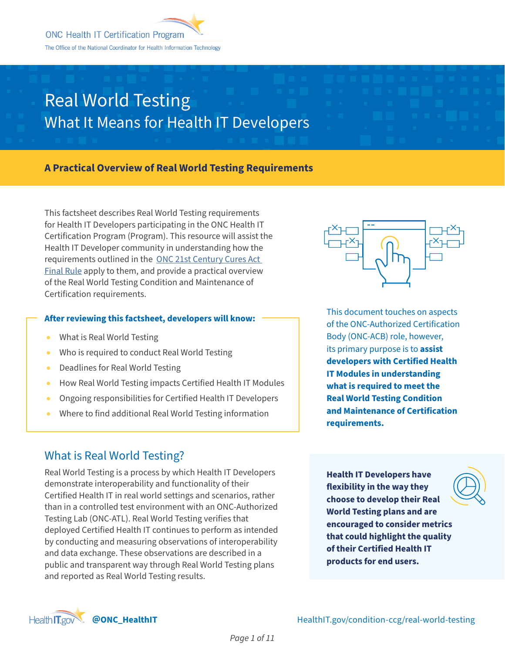### **A Practical Overview of Real World Testing Requirements**

This factsheet describes Real World Testing requirements for Health IT Developers participating in the ONC Health IT Certification Program (Program). This resource will assist the Health IT Developer community in understanding how the requirements outlined in the [ONC 21st Century Cures Act](https://www.healthit.gov/curesrule/)  [Final Rule](https://www.healthit.gov/curesrule/) apply to them, and provide a practical overview of the Real World Testing Condition and Maintenance of Certification requirements.

#### **After reviewing this factsheet, developers will know:**

- What is Real World Testing
- Who is required to conduct Real World Testing
- Deadlines for Real World Testing
- How Real World Testing impacts Certified Health IT Modules
- Ongoing responsibilities for Certified Health IT Developers
- Where to find additional Real World Testing information

### What is Real World Testing?

Real World Testing is a process by which Health IT Developers demonstrate interoperability and functionality of their Certified Health IT in real world settings and scenarios, rather than in a controlled test environment with an ONC-Authorized Testing Lab (ONC-ATL). Real World Testing verifies that deployed Certified Health IT continues to perform as intended by conducting and measuring observations of interoperability and data exchange. These observations are described in a public and transparent way through Real World Testing plans and reported as Real World Testing results.

**Health IT Developers have flexibility in the way they choose to develop their Real World Testing plans and are encouraged to consider metrics that could highlight the quality of their Certified Health IT products for end users.** 



This document touches on aspects of the ONC-Authorized Certification Body (ONC-ACB) role, however, its primary purpose is to **assist developers with Certified Health IT Modules in understanding what is required to meet the Real World Testing Condition and Maintenance of Certification requirements.** 

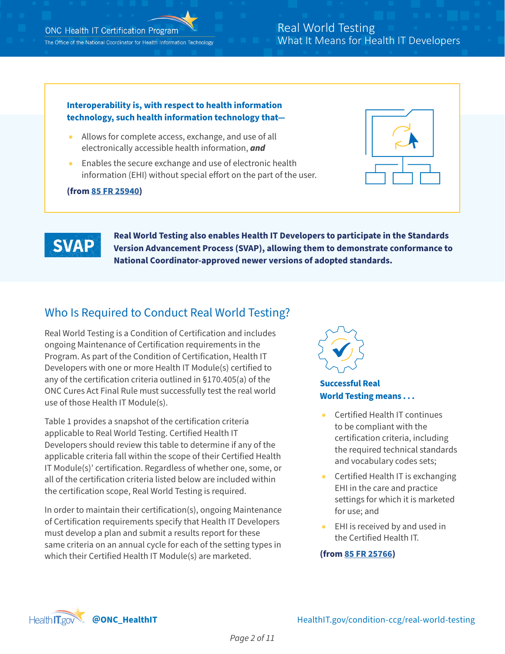# **Interoperability is, with respect to health information technology, such health information technology that—** ● Allows for complete access, exchange, and use of all electronically accessible health information, *and* Enables the secure exchange and use of electronic health information (EHI) without special effort on the part of the user. **(from [85 FR 25940\)](https://www.federalregister.gov/documents/2020/05/01/2020-07419/21st-century-cures-act-interoperability-information-blocking-and-the-onc-health-it-certification#p-3257)**



**Real World Testing also enables Health IT Developers to participate in the Standards Version Advancement Process (SVAP), allowing them to demonstrate conformance to National Coordinator-approved newer versions of adopted standards.** 

### Who Is Required to Conduct Real World Testing?

Real World Testing is a Condition of Certification and includes ongoing Maintenance of Certification requirements in the Program. As part of the Condition of Certification, Health IT Developers with one or more Health IT Module(s) certified to any of the certification criteria outlined in §170.405(a) of the ONC Cures Act Final Rule must successfully test the real world use of those Health IT Module(s).

Table 1 provides a snapshot of the certification criteria applicable to Real World Testing. Certified Health IT Developers should review this table to determine if any of the applicable criteria fall within the scope of their Certified Health IT Module(s)' certification. Regardless of whether one, some, or all of the certification criteria listed below are included within the certification scope, Real World Testing is required.

In order to maintain their certification(s), ongoing Maintenance of Certification requirements specify that Health IT Developers must develop a plan and submit a results report for these same criteria on an annual cycle for each of the setting types in which their Certified Health IT Module(s) are marketed.



#### **Successful Real World Testing means . . .**

- Certified Health IT continues to be compliant with the certification criteria, including the required technical standards and vocabulary codes sets;
- Certified Health IT is exchanging EHI in the care and practice settings for which it is marketed for use; and
- EHI is received by and used in the Certified Health IT.

#### **(from [85 FR 25766\)](https://www.federalregister.gov/documents/2020/05/01/2020-07419/21st-century-cures-act-interoperability-information-blocking-and-the-onc-health-it-certification#p-1414)**

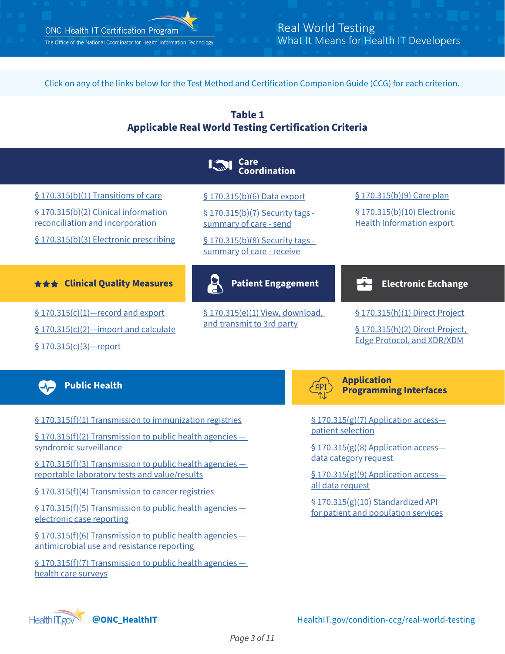

Click on any of the links below for the Test Method and Certification Companion Guide (CCG) for each criterion.





[§ 170.315\(f\)\(1\) Transmission to immunization registries](https://www.healthit.gov/test-method/transmission-immunization-registries#ccg)

[§ 170.315\(f\)\(2\) Transmission to public health agencies](https://www.healthit.gov/test-method/transmission-public-health-agencies-syndromic-surveillance#ccg)  [syndromic surveillance](https://www.healthit.gov/test-method/transmission-public-health-agencies-syndromic-surveillance#ccg)

[§ 170.315\(f\)\(3\) Transmission to public health agencies](https://www.healthit.gov/test-method/transmission-public-health-agencies-reportable-laboratory-tests-and-valueresults#ccg)  [reportable laboratory tests and value/results](https://www.healthit.gov/test-method/transmission-public-health-agencies-reportable-laboratory-tests-and-valueresults#ccg)

[§ 170.315\(f\)\(4\) Transmission to cancer registries](https://www.healthit.gov/test-method/transmission-cancer-registries#ccg)

[§ 170.315\(f\)\(5\) Transmission to public health agencies](https://www.healthit.gov/test-method/transmission-public-health-agencies-electronic-case-reporting#cures_ccg)  [electronic case reporting](https://www.healthit.gov/test-method/transmission-public-health-agencies-electronic-case-reporting#cures_ccg)

[§ 170.315\(f\)\(6\) Transmission to public health agencies](https://www.healthit.gov/test-method/transmission-public-health-agencies-antimicrobial-use-and-resistance-reporting#ccg)  [antimicrobial use and resistance reporting](https://www.healthit.gov/test-method/transmission-public-health-agencies-antimicrobial-use-and-resistance-reporting#ccg)

[§ 170.315\(f\)\(7\) Transmission to public health agencies](https://www.healthit.gov/test-method/transmission-public-health-agencies-health-care-surveys)  [health care surveys](https://www.healthit.gov/test-method/transmission-public-health-agencies-health-care-surveys)



**Application Programming Interfaces** 

[§ 170.315\(g\)\(7\) Application access](https://www.healthit.gov/test-method/application-access-patient-selection) [patient selection](https://www.healthit.gov/test-method/application-access-patient-selection)

[§ 170.315\(g\)\(8\) Application access](https://www.healthit.gov/test-method/application-access-data-category-request) [data category request](https://www.healthit.gov/test-method/application-access-data-category-request)

§ 170.315(g)(9) Application access[all data request](https://www.healthit.gov/test-method/application-access-all-data-request)

 $§ 170.315(g)(10)$  Standardized API [for patient and population services](https://www.healthit.gov/test-method/standardized-api-patient-and-population-services)

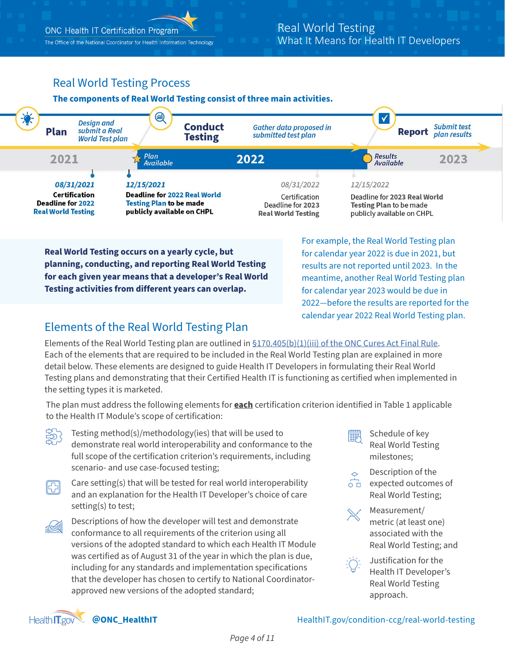The Office of the National Coordinator for Health Information Technology

## Real World Testing Process

#### **The components of Real World Testing consist of three main activities.**



**Real World Testing occurs on a yearly cycle, but planning, conducting, and reporting Real World Testing for each given year means that a developer's Real World Testing activities from different years can overlap.** 

For example, the Real World Testing plan for calendar year 2022 is due in 2021, but results are not reported until 2023. In the meantime, another Real World Testing plan for calendar year 2023 would be due in 2022—before the results are reported for the calendar year 2022 Real World Testing plan.

### Elements of the Real World Testing Plan

Elements of the Real World Testing plan are outlined in [§170.405\(b\)\(1\)\(iii\) of the ONC Cures Act Final Rule.](https://www.federalregister.gov/documents/2020/05/01/2020-07419/21st-century-cures-act-interoperability-information-blocking-and-the-onc-health-it-certification#p-3584) Each of the elements that are required to be included in the Real World Testing plan are explained in more detail below. These elements are designed to guide Health IT Developers in formulating their Real World Testing plans and demonstrating that their Certified Health IT is functioning as certified when implemented in the setting types it is marketed.

The plan must address the following elements for **each** certification criterion identified in Table 1 applicable to the Health IT Module's scope of certification:

- Testing method(s)/methodology(ies) that will be used to demonstrate real world interoperability and conformance to the full scope of the certification criterion's requirements, including scenario- and use case-focused testing;
- Care setting(s) that will be tested for real world interoperability 冏 and an explanation for the Health IT Developer's choice of care setting(s) to test;
- Descriptions of how the developer will test and demonstrate **TAN** conformance to all requirements of the criterion using all versions of the adopted standard to which each Health IT Module was certified as of August 31 of the year in which the plan is due, including for any standards and implementation specifications that the developer has chosen to certify to National Coordinatorapproved new versions of the adopted standard;

Schedule of key 囅 Real World Testing milestones;



 $\overline{O}$ expected outcomes of Real World Testing;



Measurement/ metric (at least one) associated with the Real World Testing; and



Justification for the Health IT Developer's Real World Testing approach.



#### **@ONC\_HealthIT** HealthIT.gov/condition-ccg/real-world-testing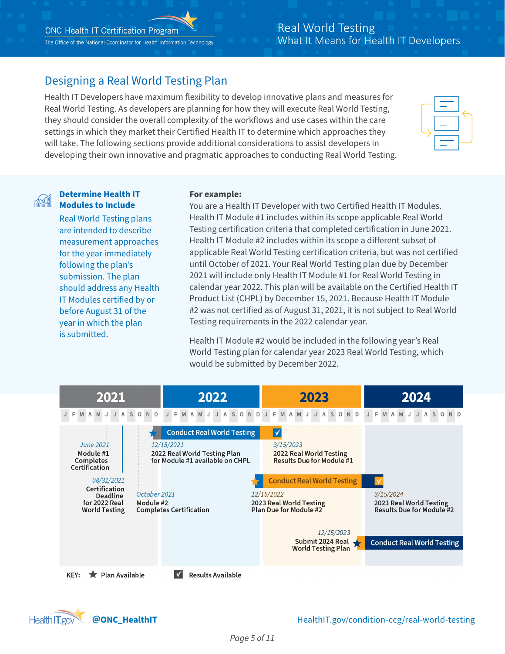### Designing a Real World Testing Plan

Health IT Developers have maximum flexibility to develop innovative plans and measures for Real World Testing. As developers are planning for how they will execute Real World Testing, they should consider the overall complexity of the workflows and use cases within the care settings in which they market their Certified Health IT to determine which approaches they will take. The following sections provide additional considerations to assist developers in developing their own innovative and pragmatic approaches to conducting Real World Testing.

#### **Determine Health IT Modules to Include**

Real World Testing plans are intended to describe measurement approaches for the year immediately following the plan's submission. The plan should address any Health IT Modules certified by or before August 31 of the year in which the plan is submitted.

#### **For example:**

You are a Health IT Developer with two Certified Health IT Modules. Health IT Module #1 includes within its scope applicable Real World Testing certification criteria that completed certification in June 2021. Health IT Module #2 includes within its scope a different subset of applicable Real World Testing certification criteria, but was not certified until October of 2021. Your Real World Testing plan due by December 2021 will include only Health IT Module #1 for Real World Testing in calendar year 2022. This plan will be available on the Certified Health IT Product List (CHPL) by December 15, 2021. Because Health IT Module #2 was not certified as of August 31, 2021, it is not subject to Real World Testing requirements in the 2022 calendar year.

Health IT Module #2 would be included in the following year's Real World Testing plan for calendar year 2023 Real World Testing, which would be submitted by December 2022.



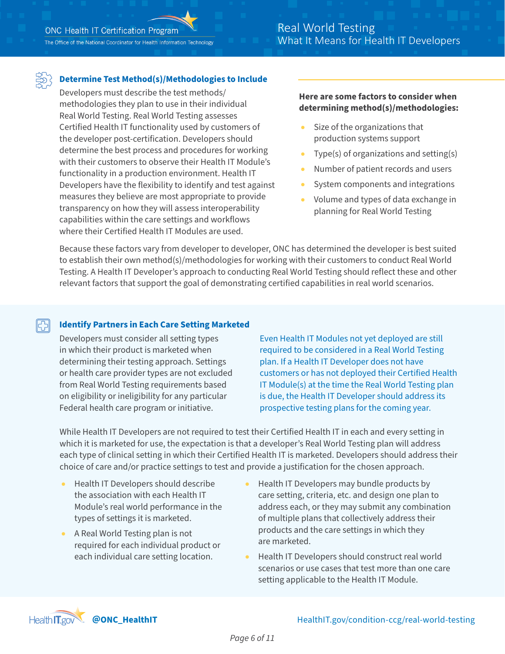The Office of the National Coordinator for Health Information Technology

### Real World Testing What It Means for Health IT Developers

#### **Determine Test Method(s)/Methodologies to Include**

Developers must describe the test methods/ methodologies they plan to use in their individual Real World Testing. Real World Testing assesses Certified Health IT functionality used by customers of the developer post-certification. Developers should determine the best process and procedures for working with their customers to observe their Health IT Module's functionality in a production environment. Health IT Developers have the flexibility to identify and test against measures they believe are most appropriate to provide transparency on how they will assess interoperability capabilities within the care settings and workflows where their Certified Health IT Modules are used.

#### **Here are some factors to consider when determining method(s)/methodologies:**

- Size of the organizations that production systems support
- Type(s) of organizations and setting(s)
- Number of patient records and users
- System components and integrations
- Volume and types of data exchange in planning for Real World Testing

Because these factors vary from developer to developer, ONC has determined the developer is best suited to establish their own method(s)/methodologies for working with their customers to conduct Real World Testing. A Health IT Developer's approach to conducting Real World Testing should reflect these and other relevant factors that support the goal of demonstrating certified capabilities in real world scenarios.

#### 冏 **Identify Partners in Each Care Setting Marketed**

Developers must consider all setting types in which their product is marketed when determining their testing approach. Settings or health care provider types are not excluded from Real World Testing requirements based on eligibility or ineligibility for any particular Federal health care program or initiative.

Even Health IT Modules not yet deployed are still required to be considered in a Real World Testing plan. If a Health IT Developer does not have customers or has not deployed their Certified Health IT Module(s) at the time the Real World Testing plan is due, the Health IT Developer should address its prospective testing plans for the coming year.

While Health IT Developers are not required to test their Certified Health IT in each and every setting in which it is marketed for use, the expectation is that a developer's Real World Testing plan will address each type of clinical setting in which their Certified Health IT is marketed. Developers should address their choice of care and/or practice settings to test and provide a justification for the chosen approach.

- Health IT Developers should describe the association with each Health IT Module's real world performance in the types of settings it is marketed.
- A Real World Testing plan is not required for each individual product or each individual care setting location.
- Health IT Developers may bundle products by care setting, criteria, etc. and design one plan to address each, or they may submit any combination of multiple plans that collectively address their products and the care settings in which they are marketed.
- Health IT Developers should construct real world scenarios or use cases that test more than one care setting applicable to the Health IT Module.

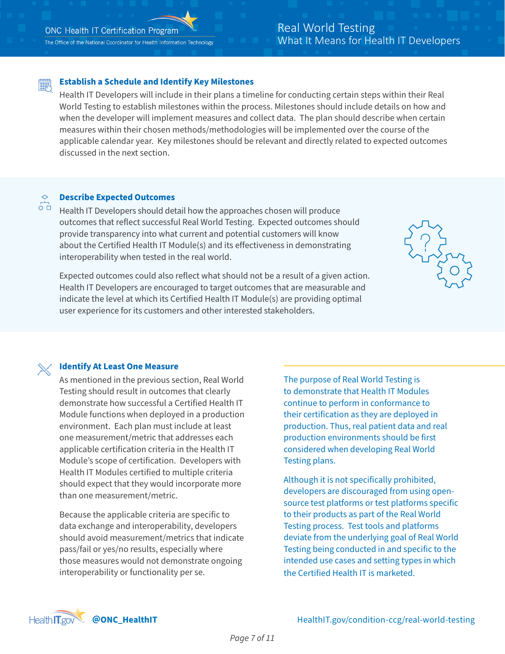#### **Establish a Schedule and Identify Key Milestones** 釂

Health IT Developers will include in their plans a timeline for conducting certain steps within their Real World Testing to establish milestones within the process. Milestones should include details on how and when the developer will implement measures and collect data. The plan should describe when certain measures within their chosen methods/methodologies will be implemented over the course of the applicable calendar year. Key milestones should be relevant and directly related to expected outcomes discussed in the next section.

#### **Describe Expected Outcomes**   $\overline{O}$

 $\Diamond$ 

Health IT Developers should detail how the approaches chosen will produce outcomes that reflect successful Real World Testing. Expected outcomes should provide transparency into what current and potential customers will know about the Certified Health IT Module(s) and its effectiveness in demonstrating interoperability when tested in the real world.

Expected outcomes could also reflect what should not be a result of a given action. Health IT Developers are encouraged to target outcomes that are measurable and indicate the level at which its Certified Health IT Module(s) are providing optimal user experience for its customers and other interested stakeholders.



#### **Identify At Least One Measure**

As mentioned in the previous section, Real World Testing should result in outcomes that clearly demonstrate how successful a Certified Health IT Module functions when deployed in a production environment. Each plan must include at least one measurement/metric that addresses each applicable certification criteria in the Health IT Module's scope of certification. Developers with Health IT Modules certified to multiple criteria should expect that they would incorporate more than one measurement/metric.

Because the applicable criteria are specific to data exchange and interoperability, developers should avoid measurement/metrics that indicate pass/fail or yes/no results, especially where those measures would not demonstrate ongoing interoperability or functionality per se.

The purpose of Real World Testing is to demonstrate that Health IT Modules continue to perform in conformance to their certification as they are deployed in production. Thus, real patient data and real production environments should be first considered when developing Real World Testing plans.

Although it is not specifically prohibited, developers are discouraged from using opensource test platforms or test platforms specific to their products as part of the Real World Testing process. Test tools and platforms deviate from the underlying goal of Real World Testing being conducted in and specific to the intended use cases and setting types in which the Certified Health IT is marketed.

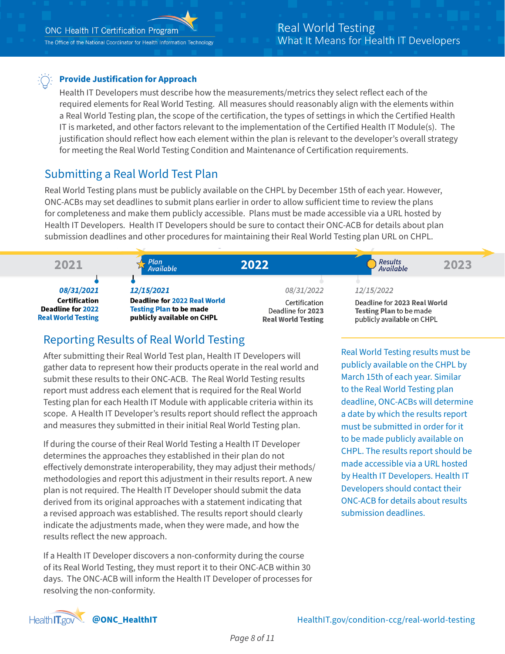

### **Provide Justification for Approach**

Health IT Developers must describe how the measurements/metrics they select reflect each of the required elements for Real World Testing. All measures should reasonably align with the elements within a Real World Testing plan, the scope of the certification, the types of settings in which the Certified Health IT is marketed, and other factors relevant to the implementation of the Certified Health IT Module(s). The justification should reflect how each element within the plan is relevant to the developer's overall strategy for meeting the Real World Testing Condition and Maintenance of Certification requirements.

### Submitting a Real World Test Plan

Real World Testing plans must be publicly available on the CHPL by December 15th of each year. However, ONC-ACBs may set deadlines to submit plans earlier in order to allow sufficient time to review the plans for completeness and make them publicly accessible. Plans must be made accessible via a URL hosted by Health IT Developers. Health IT Developers should be sure to contact their ONC-ACB for details about plan submission deadlines and other procedures for maintaining their Real World Testing plan URL on CHPL.



### Reporting Results of Real World Testing

After submitting their Real World Test plan, Health IT Developers will gather data to represent how their products operate in the real world and submit these results to their ONC-ACB. The Real World Testing results report must address each element that is required for the Real World Testing plan for each Health IT Module with applicable criteria within its scope. A Health IT Developer's results report should reflect the approach and measures they submitted in their initial Real World Testing plan.

If during the course of their Real World Testing a Health IT Developer determines the approaches they established in their plan do not effectively demonstrate interoperability, they may adjust their methods/ methodologies and report this adjustment in their results report. A new plan is not required. The Health IT Developer should submit the data derived from its original approaches with a statement indicating that a revised approach was established. The results report should clearly indicate the adjustments made, when they were made, and how the results reflect the new approach.

If a Health IT Developer discovers a non-conformity during the course of its Real World Testing, they must report it to their ONC-ACB within 30 days. The ONC-ACB will inform the Health IT Developer of processes for resolving the non-conformity.

Real World Testing results must be publicly available on the CHPL by March 15th of each year. Similar to the Real World Testing plan deadline, ONC-ACBs will determine a date by which the results report must be submitted in order for it to be made publicly available on CHPL. The results report should be made accessible via a URL hosted by Health IT Developers. Health IT Developers should contact their ONC-ACB for details about results submission deadlines.

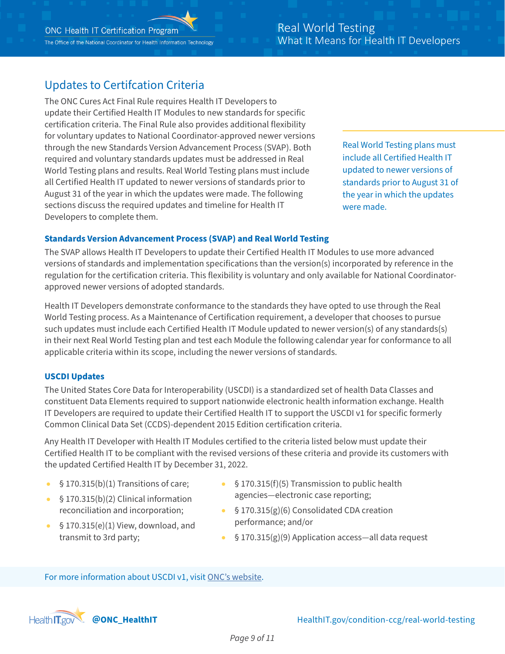### Updates to Certifcation Criteria

The ONC Cures Act Final Rule requires Health IT Developers to update their Certified Health IT Modules to new standards for specific certification criteria. The Final Rule also provides additional flexibility for voluntary updates to National Coordinator-approved newer versions through the new Standards Version Advancement Process (SVAP). Both required and voluntary standards updates must be addressed in Real World Testing plans and results. Real World Testing plans must include all Certified Health IT updated to newer versions of standards prior to August 31 of the year in which the updates were made. The following sections discuss the required updates and timeline for Health IT Developers to complete them.

Real World Testing plans must include all Certified Health IT updated to newer versions of standards prior to August 31 of the year in which the updates were made.

#### **Standards Version Advancement Process (SVAP) and Real World Testing**

The SVAP allows Health IT Developers to update their Certified Health IT Modules to use more advanced versions of standards and implementation specifications than the version(s) incorporated by reference in the regulation for the certification criteria. This flexibility is voluntary and only available for National Coordinatorapproved newer versions of adopted standards.

Health IT Developers demonstrate conformance to the standards they have opted to use through the Real World Testing process. As a Maintenance of Certification requirement, a developer that chooses to pursue such updates must include each Certified Health IT Module updated to newer version(s) of any standards(s) in their next Real World Testing plan and test each Module the following calendar year for conformance to all applicable criteria within its scope, including the newer versions of standards.

#### **USCDI Updates**

The United States Core Data for Interoperability (USCDI) is a standardized set of health Data Classes and constituent Data Elements required to support nationwide electronic health information exchange. Health IT Developers are required to update their Certified Health IT to support the USCDI v1 for specific formerly Common Clinical Data Set (CCDS)-dependent 2015 Edition certification criteria.

Any Health IT Developer with Health IT Modules certified to the criteria listed below must update their Certified Health IT to be compliant with the revised versions of these criteria and provide its customers with the updated Certified Health IT by December 31, 2022.

- $\bullet$  § 170.315(b)(1) Transitions of care;
- § 170.315(b)(2) Clinical information reconciliation and incorporation;
- $\bullet$  § 170.315(e)(1) View, download, and transmit to 3rd party;
- $$ 170.315(f)(5)$  Transmission to public health agencies—electronic case reporting;
- § 170.315(g)(6) Consolidated CDA creation performance; and/or
- $§ 170.315(g)(9)$  Application access—all data request

For more information about USCDI v1, visit [ONC's website](https://www.healthit.gov/isa/united-states-core-data-interoperability-uscdi).

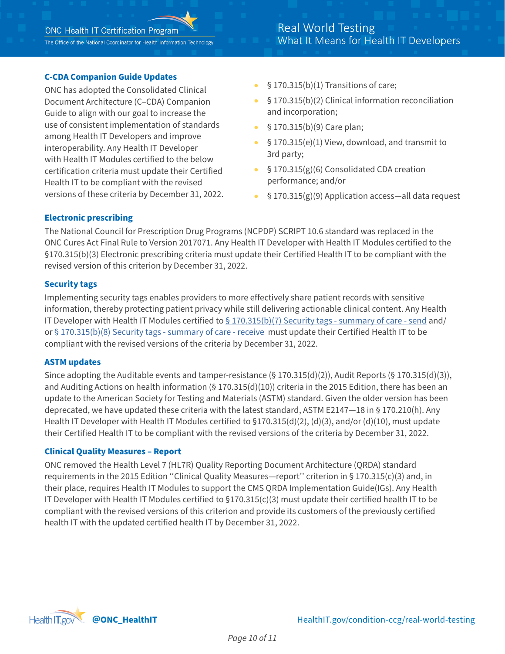#### **C-CDA Companion Guide Updates**

ONC has adopted the Consolidated Clinical Document Architecture (C–CDA) Companion Guide to align with our goal to increase the use of consistent implementation of standards among Health IT Developers and improve interoperability. Any Health IT Developer with Health IT Modules certified to the below certification criteria must update their Certified Health IT to be compliant with the revised versions of these criteria by December 31, 2022.

- $$ 170.315(b)(1)$  Transitions of care;
- § 170.315(b)(2) Clinical information reconciliation and incorporation;
- § 170.315(b)(9) Care plan;
- $§ 170.315(e)(1)$  View, download, and transmit to 3rd party;
- $§ 170.315(g)(6)$  Consolidated CDA creation performance; and/or
- $$ 170.315(g)(9)$  Application access—all data request

#### **Electronic prescribing**

The National Council for Prescription Drug Programs (NCPDP) SCRIPT 10.6 standard was replaced in the ONC Cures Act Final Rule to Version 2017071. Any Health IT Developer with Health IT Modules certified to the §170.315(b)(3) Electronic prescribing criteria must update their Certified Health IT to be compliant with the revised version of this criterion by December 31, 2022.

#### **Security tags**

Implementing security tags enables providers to more effectively share patient records with sensitive information, thereby protecting patient privacy while still delivering actionable clinical content. Any Health IT Developer with Health IT Modules certified to  $\S$  170.315(b)(7) Security tags - summary of care - send and/ or [§ 170.315\(b\)\(8\) Security tags - summary of care - receive](https://www.healthit.gov/test-method/data-segmentation-privacy-receive#cures_ccg) must update their Certified Health IT to be compliant with the revised versions of the criteria by December 31, 2022.

#### **ASTM updates**

Since adopting the Auditable events and tamper-resistance (§ 170.315(d)(2)), Audit Reports (§ 170.315(d)(3)), and Auditing Actions on health information (§ 170.315(d)(10)) criteria in the 2015 Edition, there has been an update to the American Society for Testing and Materials (ASTM) standard. Given the older version has been deprecated, we have updated these criteria with the latest standard, ASTM E2147—18 in § 170.210(h). Any Health IT Developer with Health IT Modules certified to §170.315(d)(2), (d)(3), and/or (d)(10), must update their Certified Health IT to be compliant with the revised versions of the criteria by December 31, 2022.

#### **Clinical Quality Measures – Report**

ONC removed the Health Level 7 (HL7R) Quality Reporting Document Architecture (QRDA) standard requirements in the 2015 Edition ''Clinical Quality Measures—report'' criterion in § 170.315(c)(3) and, in their place, requires Health IT Modules to support the CMS QRDA Implementation Guide(IGs). Any Health IT Developer with Health IT Modules certified to §170.315(c)(3) must update their certified health IT to be compliant with the revised versions of this criterion and provide its customers of the previously certified health IT with the updated certified health IT by December 31, 2022.